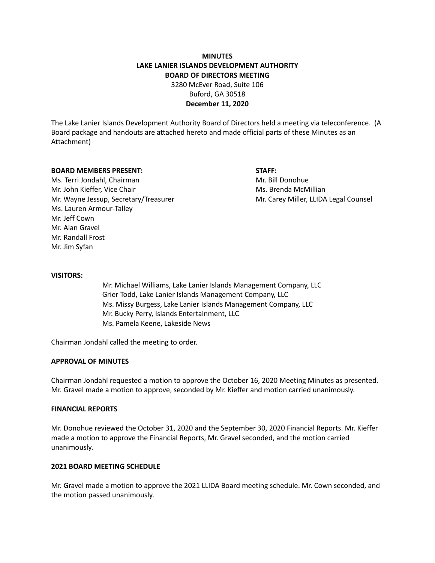# **MINUTES LAKE LANIER ISLANDS DEVELOPMENT AUTHORITY BOARD OF DIRECTORS MEETING**

3280 McEver Road, Suite 106 Buford, GA 30518 **December 11, 2020**

The Lake Lanier Islands Development Authority Board of Directors held a meeting via teleconference. (A Board package and handouts are attached hereto and made official parts of these Minutes as an Attachment)

#### **BOARD MEMBERS PRESENT: STAFF:**

Ms. Terri Jondahl, Chairman Mr. Bill Donohue Mr. John Kieffer, Vice Chair Michael McMillian Ms. Brenda McMillian Mr. Wayne Jessup, Secretary/Treasurer Mr. Carey Miller, LLIDA Legal Counsel Ms. Lauren Armour-Talley Mr. Jeff Cown Mr. Alan Gravel Mr. Randall Frost Mr. Jim Syfan

#### **VISITORS:**

Mr. Michael Williams, Lake Lanier Islands Management Company, LLC Grier Todd, Lake Lanier Islands Management Company, LLC Ms. Missy Burgess, Lake Lanier Islands Management Company, LLC Mr. Bucky Perry, Islands Entertainment, LLC Ms. Pamela Keene, Lakeside News

Chairman Jondahl called the meeting to order.

### **APPROVAL OF MINUTES**

Chairman Jondahl requested a motion to approve the October 16, 2020 Meeting Minutes as presented. Mr. Gravel made a motion to approve, seconded by Mr. Kieffer and motion carried unanimously.

#### **FINANCIAL REPORTS**

Mr. Donohue reviewed the October 31, 2020 and the September 30, 2020 Financial Reports. Mr. Kieffer made a motion to approve the Financial Reports, Mr. Gravel seconded, and the motion carried unanimously.

# **2021 BOARD MEETING SCHEDULE**

Mr. Gravel made a motion to approve the 2021 LLIDA Board meeting schedule. Mr. Cown seconded, and the motion passed unanimously.